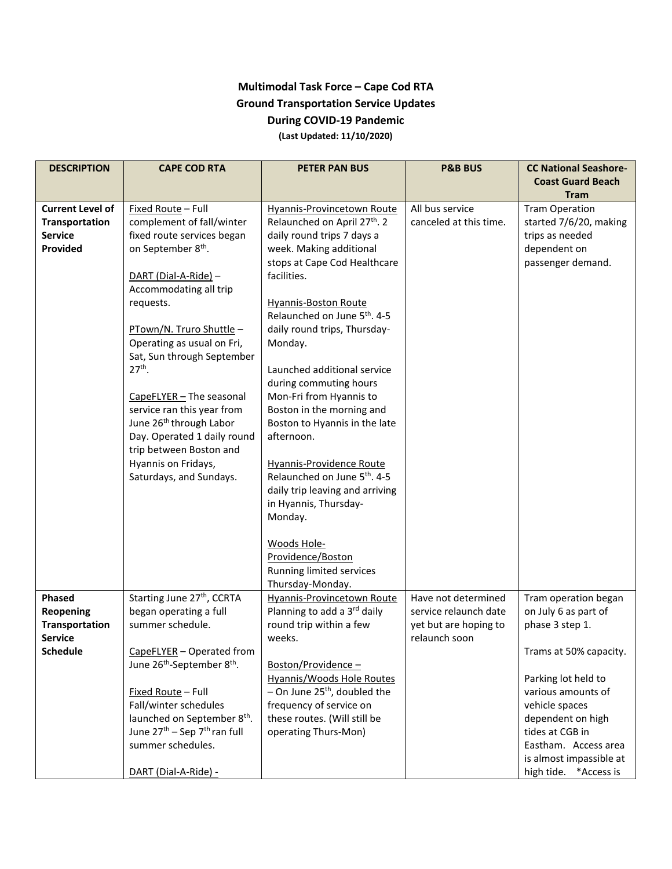## **Multimodal Task Force – Cape Cod RTA Ground Transportation Service Updates During COVID-19 Pandemic (Last Updated: 11/10/2020)**

| <b>DESCRIPTION</b>         | <b>CAPE COD RTA</b>                                          | <b>PETER PAN BUS</b>                                  | <b>P&amp;B BUS</b>     | <b>CC National Seashore-</b>    |
|----------------------------|--------------------------------------------------------------|-------------------------------------------------------|------------------------|---------------------------------|
|                            |                                                              |                                                       |                        | <b>Coast Guard Beach</b>        |
|                            |                                                              |                                                       |                        | <b>Tram</b>                     |
| <b>Current Level of</b>    | Fixed Route - Full                                           | Hyannis-Provincetown Route                            | All bus service        | <b>Tram Operation</b>           |
| Transportation             | complement of fall/winter                                    | Relaunched on April 27th. 2                           | canceled at this time. | started 7/6/20, making          |
| <b>Service</b><br>Provided | fixed route services began<br>on September 8 <sup>th</sup> . | daily round trips 7 days a<br>week. Making additional |                        | trips as needed<br>dependent on |
|                            |                                                              | stops at Cape Cod Healthcare                          |                        | passenger demand.               |
|                            | DART (Dial-A-Ride) -                                         | facilities.                                           |                        |                                 |
|                            | Accommodating all trip                                       |                                                       |                        |                                 |
|                            | requests.                                                    | <b>Hyannis-Boston Route</b>                           |                        |                                 |
|                            |                                                              | Relaunched on June 5th. 4-5                           |                        |                                 |
|                            | PTown/N. Truro Shuttle -                                     | daily round trips, Thursday-                          |                        |                                 |
|                            | Operating as usual on Fri,                                   | Monday.                                               |                        |                                 |
|                            | Sat, Sun through September                                   |                                                       |                        |                                 |
|                            | $27th$ .                                                     | Launched additional service                           |                        |                                 |
|                            |                                                              | during commuting hours                                |                        |                                 |
|                            | CapeFLYER - The seasonal                                     | Mon-Fri from Hyannis to                               |                        |                                 |
|                            | service ran this year from                                   | Boston in the morning and                             |                        |                                 |
|                            | June 26 <sup>th</sup> through Labor                          | Boston to Hyannis in the late                         |                        |                                 |
|                            | Day. Operated 1 daily round                                  | afternoon.                                            |                        |                                 |
|                            | trip between Boston and                                      |                                                       |                        |                                 |
|                            | Hyannis on Fridays,                                          | Hyannis-Providence Route                              |                        |                                 |
|                            | Saturdays, and Sundays.                                      | Relaunched on June 5 <sup>th</sup> . 4-5              |                        |                                 |
|                            |                                                              | daily trip leaving and arriving                       |                        |                                 |
|                            |                                                              | in Hyannis, Thursday-                                 |                        |                                 |
|                            |                                                              | Monday.                                               |                        |                                 |
|                            |                                                              | Woods Hole-                                           |                        |                                 |
|                            |                                                              | Providence/Boston                                     |                        |                                 |
|                            |                                                              | Running limited services                              |                        |                                 |
|                            |                                                              | Thursday-Monday.                                      |                        |                                 |
| Phased                     | Starting June 27 <sup>th</sup> , CCRTA                       | <b>Hyannis-Provincetown Route</b>                     | Have not determined    | Tram operation began            |
| <b>Reopening</b>           | began operating a full                                       | Planning to add a 3rd daily                           | service relaunch date  | on July 6 as part of            |
| <b>Transportation</b>      | summer schedule.                                             | round trip within a few                               | yet but are hoping to  | phase 3 step 1.                 |
| <b>Service</b>             |                                                              | weeks.                                                | relaunch soon          |                                 |
| <b>Schedule</b>            | CapeFLYER - Operated from                                    |                                                       |                        | Trams at 50% capacity.          |
|                            | June 26 <sup>th</sup> -September 8 <sup>th</sup> .           | Boston/Providence-                                    |                        |                                 |
|                            |                                                              | Hyannis/Woods Hole Routes                             |                        | Parking lot held to             |
|                            | Fixed Route - Full                                           | $-$ On June 25 <sup>th</sup> , doubled the            |                        | various amounts of              |
|                            | Fall/winter schedules                                        | frequency of service on                               |                        | vehicle spaces                  |
|                            | launched on September 8 <sup>th</sup> .                      | these routes. (Will still be                          |                        | dependent on high               |
|                            | June 27 <sup>th</sup> – Sep 7 <sup>th</sup> ran full         | operating Thurs-Mon)                                  |                        | tides at CGB in                 |
|                            | summer schedules.                                            |                                                       |                        | Eastham. Access area            |
|                            |                                                              |                                                       |                        | is almost impassible at         |
|                            | DART (Dial-A-Ride) -                                         |                                                       |                        | high tide.<br>*Access is        |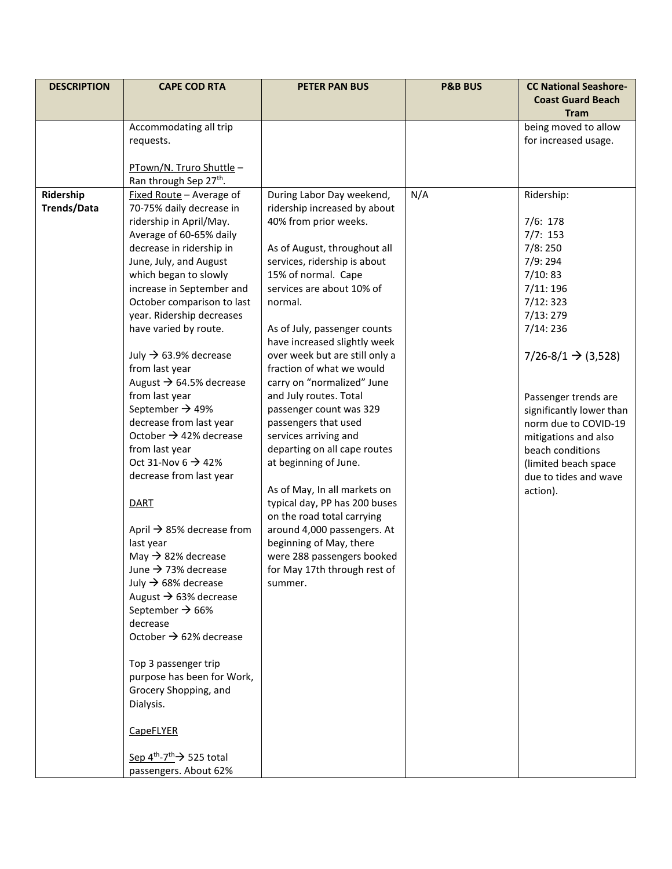| <b>DESCRIPTION</b> | <b>CAPE COD RTA</b>                                                            | <b>PETER PAN BUS</b>                                         | <b>P&amp;B BUS</b> | <b>CC National Seashore-</b><br><b>Coast Guard Beach</b> |
|--------------------|--------------------------------------------------------------------------------|--------------------------------------------------------------|--------------------|----------------------------------------------------------|
|                    |                                                                                |                                                              |                    | <b>Tram</b>                                              |
|                    | Accommodating all trip                                                         |                                                              |                    | being moved to allow                                     |
|                    | requests.                                                                      |                                                              |                    | for increased usage.                                     |
|                    | PTown/N. Truro Shuttle -                                                       |                                                              |                    |                                                          |
|                    | Ran through Sep 27th.                                                          |                                                              |                    |                                                          |
| Ridership          | Fixed Route - Average of                                                       | During Labor Day weekend,                                    | N/A                | Ridership:                                               |
| <b>Trends/Data</b> | 70-75% daily decrease in                                                       | ridership increased by about                                 |                    |                                                          |
|                    | ridership in April/May.                                                        | 40% from prior weeks.                                        |                    | 7/6: 178                                                 |
|                    | Average of 60-65% daily                                                        |                                                              |                    | 7/7: 153                                                 |
|                    | decrease in ridership in                                                       | As of August, throughout all<br>services, ridership is about |                    | 7/8:250<br>7/9:294                                       |
|                    | June, July, and August<br>which began to slowly                                | 15% of normal. Cape                                          |                    | 7/10:83                                                  |
|                    | increase in September and                                                      | services are about 10% of                                    |                    | 7/11: 196                                                |
|                    | October comparison to last                                                     | normal.                                                      |                    | 7/12:323                                                 |
|                    | year. Ridership decreases                                                      |                                                              |                    | 7/13:279                                                 |
|                    | have varied by route.                                                          | As of July, passenger counts<br>have increased slightly week |                    | 7/14:236                                                 |
|                    | July $\rightarrow$ 63.9% decrease                                              | over week but are still only a                               |                    | $7/26 - 8/1 \rightarrow (3,528)$                         |
|                    | from last year                                                                 | fraction of what we would                                    |                    |                                                          |
|                    | August $\rightarrow$ 64.5% decrease                                            | carry on "normalized" June                                   |                    |                                                          |
|                    | from last year                                                                 | and July routes. Total                                       |                    | Passenger trends are                                     |
|                    | September $\rightarrow$ 49%<br>decrease from last year                         | passenger count was 329<br>passengers that used              |                    | significantly lower than                                 |
|                    | October $\rightarrow$ 42% decrease                                             | services arriving and                                        |                    | norm due to COVID-19<br>mitigations and also             |
|                    | from last year                                                                 | departing on all cape routes                                 |                    | beach conditions                                         |
|                    | Oct 31-Nov 6 $\rightarrow$ 42%                                                 | at beginning of June.                                        |                    | (limited beach space                                     |
|                    | decrease from last year                                                        |                                                              |                    | due to tides and wave                                    |
|                    |                                                                                | As of May, In all markets on                                 |                    | action).                                                 |
|                    | <b>DART</b>                                                                    | typical day, PP has 200 buses                                |                    |                                                          |
|                    |                                                                                | on the road total carrying                                   |                    |                                                          |
|                    | April $\rightarrow$ 85% decrease from                                          | around 4,000 passengers. At                                  |                    |                                                          |
|                    | last year<br>May $\rightarrow$ 82% decrease                                    | beginning of May, there<br>were 288 passengers booked        |                    |                                                          |
|                    | June $\rightarrow$ 73% decrease                                                | for May 17th through rest of                                 |                    |                                                          |
|                    | July $\rightarrow$ 68% decrease                                                | summer.                                                      |                    |                                                          |
|                    | August $\rightarrow$ 63% decrease                                              |                                                              |                    |                                                          |
|                    | September $\rightarrow$ 66%                                                    |                                                              |                    |                                                          |
|                    | decrease                                                                       |                                                              |                    |                                                          |
|                    | October $\rightarrow$ 62% decrease                                             |                                                              |                    |                                                          |
|                    | Top 3 passenger trip                                                           |                                                              |                    |                                                          |
|                    | purpose has been for Work,                                                     |                                                              |                    |                                                          |
|                    | Grocery Shopping, and                                                          |                                                              |                    |                                                          |
|                    | Dialysis.                                                                      |                                                              |                    |                                                          |
|                    |                                                                                |                                                              |                    |                                                          |
|                    | <b>CapeFLYER</b>                                                               |                                                              |                    |                                                          |
|                    |                                                                                |                                                              |                    |                                                          |
|                    | Sep $4^{th}$ -7 <sup>th</sup> $\rightarrow$ 525 total<br>passengers. About 62% |                                                              |                    |                                                          |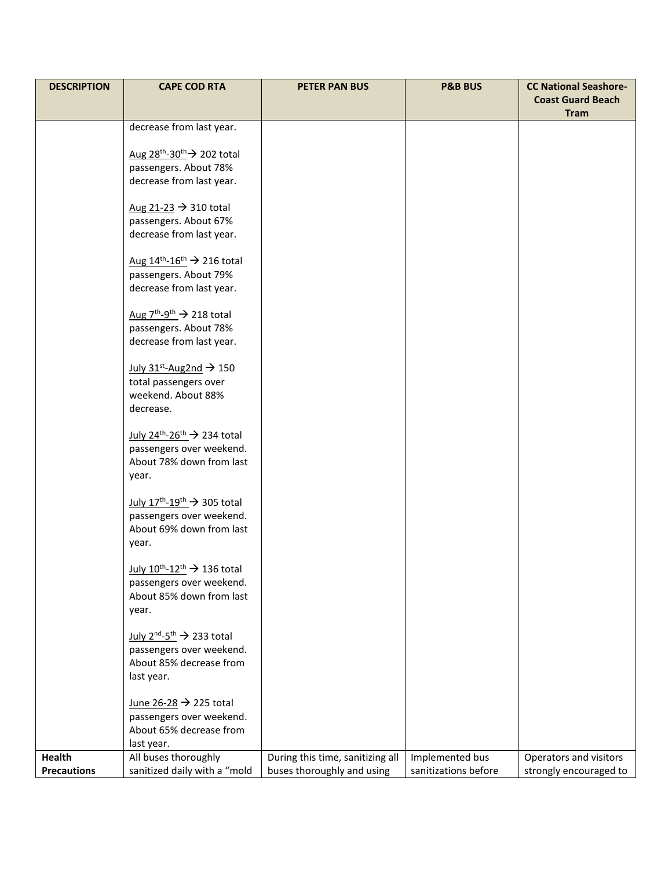| <b>DESCRIPTION</b> | <b>CAPE COD RTA</b>                                                                  | <b>PETER PAN BUS</b>             | <b>P&amp;B BUS</b>   | <b>CC National Seashore-</b> |
|--------------------|--------------------------------------------------------------------------------------|----------------------------------|----------------------|------------------------------|
|                    |                                                                                      |                                  |                      | <b>Coast Guard Beach</b>     |
|                    |                                                                                      |                                  |                      | <b>Tram</b>                  |
|                    | decrease from last year.                                                             |                                  |                      |                              |
|                    | Aug $28^{th} - 30^{th}$ 202 total                                                    |                                  |                      |                              |
|                    | passengers. About 78%                                                                |                                  |                      |                              |
|                    | decrease from last year.                                                             |                                  |                      |                              |
|                    |                                                                                      |                                  |                      |                              |
|                    | Aug $21-23 \rightarrow 310$ total                                                    |                                  |                      |                              |
|                    | passengers. About 67%                                                                |                                  |                      |                              |
|                    | decrease from last year.                                                             |                                  |                      |                              |
|                    |                                                                                      |                                  |                      |                              |
|                    | Aug $14^{\text{th}} - 16^{\text{th}} \rightarrow 216$ total<br>passengers. About 79% |                                  |                      |                              |
|                    | decrease from last year.                                                             |                                  |                      |                              |
|                    |                                                                                      |                                  |                      |                              |
|                    | Aug $7^{\text{th}} - 9^{\text{th}} \rightarrow 218$ total                            |                                  |                      |                              |
|                    | passengers. About 78%                                                                |                                  |                      |                              |
|                    | decrease from last year.                                                             |                                  |                      |                              |
|                    |                                                                                      |                                  |                      |                              |
|                    | July $31^{st}$ -Aug2nd $\rightarrow$ 150                                             |                                  |                      |                              |
|                    | total passengers over<br>weekend. About 88%                                          |                                  |                      |                              |
|                    | decrease.                                                                            |                                  |                      |                              |
|                    |                                                                                      |                                  |                      |                              |
|                    | July 24 <sup>th</sup> -26 <sup>th</sup> $\rightarrow$ 234 total                      |                                  |                      |                              |
|                    | passengers over weekend.                                                             |                                  |                      |                              |
|                    | About 78% down from last                                                             |                                  |                      |                              |
|                    | year.                                                                                |                                  |                      |                              |
|                    |                                                                                      |                                  |                      |                              |
|                    | July $17^{\text{th}} - 19^{\text{th}} \rightarrow 305$ total                         |                                  |                      |                              |
|                    | passengers over weekend.<br>About 69% down from last                                 |                                  |                      |                              |
|                    | year.                                                                                |                                  |                      |                              |
|                    |                                                                                      |                                  |                      |                              |
|                    | July $10^{th} - 12^{th}$ $\rightarrow$ 136 total                                     |                                  |                      |                              |
|                    | passengers over weekend.                                                             |                                  |                      |                              |
|                    | About 85% down from last                                                             |                                  |                      |                              |
|                    | year.                                                                                |                                  |                      |                              |
|                    | July $2^{nd} - 5^{th} \rightarrow 233$ total                                         |                                  |                      |                              |
|                    | passengers over weekend.                                                             |                                  |                      |                              |
|                    | About 85% decrease from                                                              |                                  |                      |                              |
|                    | last year.                                                                           |                                  |                      |                              |
|                    |                                                                                      |                                  |                      |                              |
|                    | June 26-28 → 225 total                                                               |                                  |                      |                              |
|                    | passengers over weekend.                                                             |                                  |                      |                              |
|                    | About 65% decrease from                                                              |                                  |                      |                              |
|                    | last year.                                                                           |                                  |                      |                              |
| <b>Health</b>      | All buses thoroughly                                                                 | During this time, sanitizing all | Implemented bus      | Operators and visitors       |
| <b>Precautions</b> | sanitized daily with a "mold                                                         | buses thoroughly and using       | sanitizations before | strongly encouraged to       |